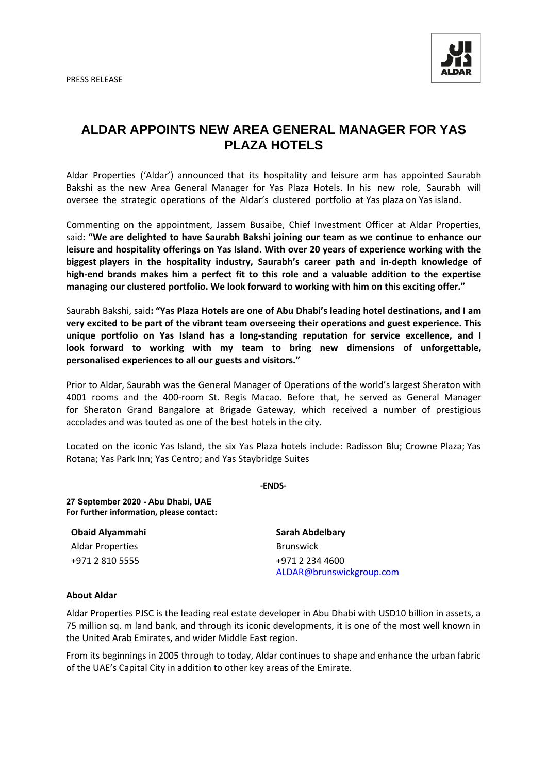PRESS RELEASE



## **ALDAR APPOINTS NEW AREA GENERAL MANAGER FOR YAS PLAZA HOTELS**

Aldar Properties ('Aldar') announced that its hospitality and leisure arm has appointed Saurabh Bakshi as the new Area General Manager for Yas Plaza Hotels. In his new role, Saurabh will oversee the strategic operations of the Aldar's clustered portfolio at Yas plaza on Yas island.

Commenting on the appointment, Jassem Busaibe, Chief Investment Officer at Aldar Properties, said**: "We are delighted to have Saurabh Bakshi joining our team as we continue to enhance our leisure and hospitality offerings on Yas Island. With over 20 years of experience working with the biggest players in the hospitality industry, Saurabh's career path and in-depth knowledge of high-end brands makes him a perfect fit to this role and a valuable addition to the expertise managing our clustered portfolio. We look forward to working with him on this exciting offer."**

Saurabh Bakshi, said**: "Yas Plaza Hotels are one of Abu Dhabi's leading hotel destinations, and I am very excited to be part of the vibrant team overseeing their operations and guest experience. This unique portfolio on Yas Island has a long-standing reputation for service excellence, and I look forward to working with my team to bring new dimensions of unforgettable, personalised experiences to all our guests and visitors."**

Prior to Aldar, Saurabh was the General Manager of Operations of the world's largest Sheraton with 4001 rooms and the 400-room St. Regis Macao. Before that, he served as General Manager for Sheraton Grand Bangalore at Brigade Gateway, which received a number of prestigious accolades and was touted as one of the best hotels in the city.

Located on the iconic Yas Island, the six Yas Plaza hotels include: Radisson Blu; Crowne Plaza; Yas Rotana; Yas Park Inn; Yas Centro; and Yas Staybridge Suites

**-ENDS-**

**27 September 2020 - Abu Dhabi, UAE For further information, please contact:** 

| <b>Obaid Alyammahi</b>  | Sarah Abdelbary          |
|-------------------------|--------------------------|
| <b>Aldar Properties</b> | <b>Brunswick</b>         |
| +971 2 810 5555         | +971 2 234 4600          |
|                         | ALDAR@brunswickgroup.com |

## **About Aldar**

Aldar Properties PJSC is the leading real estate developer in Abu Dhabi with USD10 billion in assets, a 75 million sq. m land bank, and through its iconic developments, it is one of the most well known in the United Arab Emirates, and wider Middle East region.

From its beginnings in 2005 through to today, Aldar continues to shape and enhance the urban fabric of the UAE's Capital City in addition to other key areas of the Emirate.